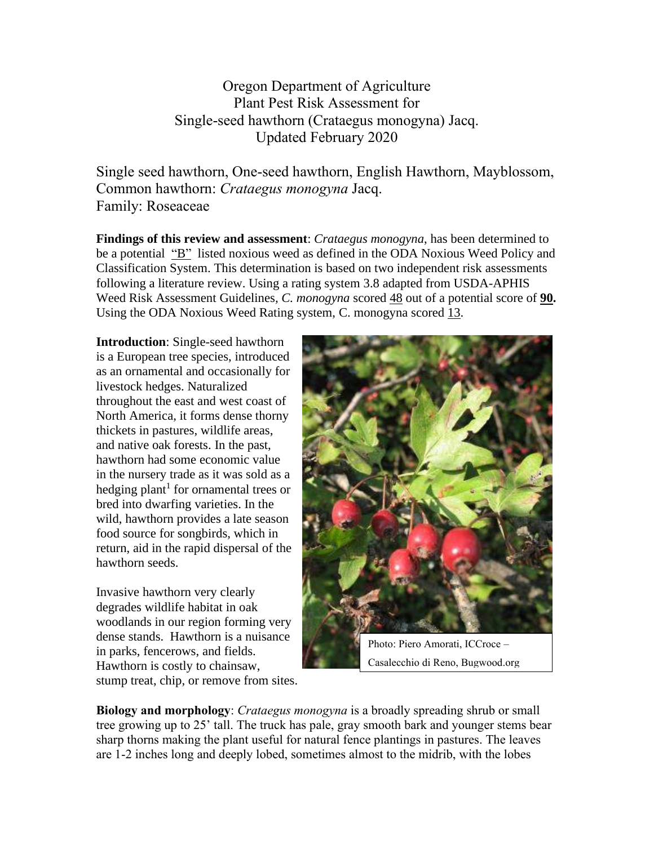Oregon Department of Agriculture Plant Pest Risk Assessment for Single-seed hawthorn (Crataegus monogyna) Jacq. Updated February 2020

Single seed hawthorn, One-seed hawthorn, English Hawthorn, Mayblossom, Common hawthorn: *Crataegus monogyna* Jacq. Family: Roseaceae

**Findings of this review and assessment**: *Crataegus monogyna*, has been determined to be a potential "B" listed noxious weed as defined in the ODA Noxious Weed Policy and Classification System. This determination is based on two independent risk assessments following a literature review. Using a rating system 3.8 adapted from USDA-APHIS Weed Risk Assessment Guidelines*, C. monogyna* scored 48 out of a potential score of **90.** Using the ODA Noxious Weed Rating system, C. monogyna scored 13.

**Introduction**: Single-seed hawthorn is a European tree species, introduced as an ornamental and occasionally for livestock hedges. Naturalized throughout the east and west coast of North America, it forms dense thorny thickets in pastures, wildlife areas, and native oak forests. In the past, hawthorn had some economic value in the nursery trade as it was sold as a hedging plant<sup>1</sup> for ornamental trees or bred into dwarfing varieties. In the wild, hawthorn provides a late season food source for songbirds, which in return, aid in the rapid dispersal of the hawthorn seeds.

Invasive hawthorn very clearly degrades wildlife habitat in oak woodlands in our region forming very dense stands. Hawthorn is a nuisance in parks, fencerows, and fields. Hawthorn is costly to chainsaw, stump treat, chip, or remove from sites.



Casalecchio di Reno, Bugwood.org

**Biology and morphology**: *Crataegus monogyna* is a broadly spreading shrub or small tree growing up to 25' tall. The truck has pale, gray smooth bark and younger stems bear sharp thorns making the plant useful for natural fence plantings in pastures. The leaves are 1-2 inches long and deeply lobed, sometimes almost to the midrib, with the lobes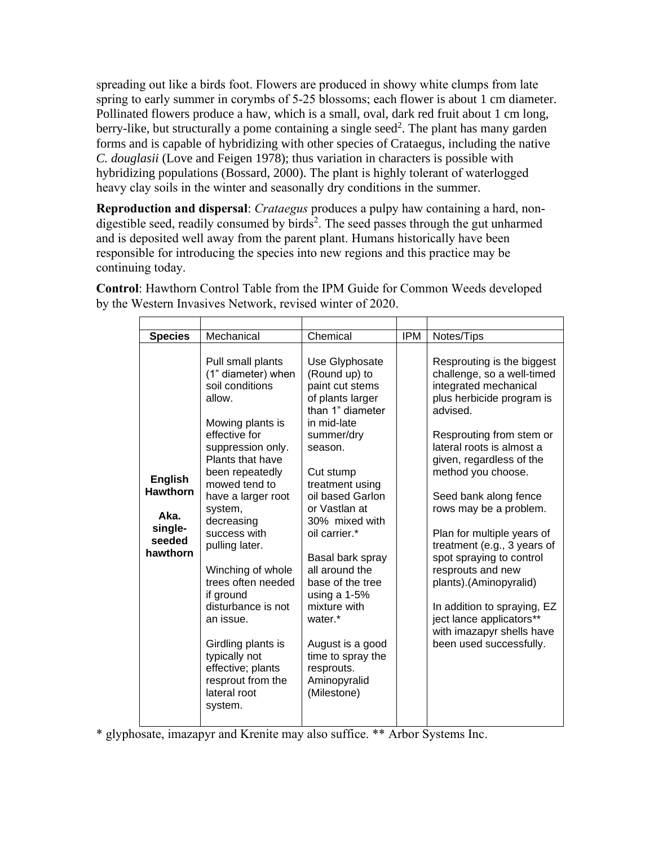spreading out like a birds foot. Flowers are produced in showy white clumps from late spring to early summer in corymbs of 5-25 blossoms; each flower is about 1 cm diameter. Pollinated flowers produce a haw, which is a small, oval, dark red fruit about 1 cm long, berry-like, but structurally a pome containing a single seed<sup>2</sup>. The plant has many garden forms and is capable of hybridizing with other species of Crataegus, including the native *C. douglasii* (Love and Feigen 1978); thus variation in characters is possible with hybridizing populations (Bossard, 2000). The plant is highly tolerant of waterlogged heavy clay soils in the winter and seasonally dry conditions in the summer.

**Reproduction and dispersal**: *Crataegus* produces a pulpy haw containing a hard, nondigestible seed, readily consumed by birds<sup>2</sup>. The seed passes through the gut unharmed and is deposited well away from the parent plant. Humans historically have been responsible for introducing the species into new regions and this practice may be continuing today.

| <b>Species</b>                                                             | Mechanical                                                                                                                                                                                                                                                                                                                                                                                                                                                                     | Chemical                                                                                                                                                                                                                                                                                                                                                                                                                                | <b>IPM</b> | Notes/Tips                                                                                                                                                                                                                                                                                                                                                                                                                                                                                                                                          |
|----------------------------------------------------------------------------|--------------------------------------------------------------------------------------------------------------------------------------------------------------------------------------------------------------------------------------------------------------------------------------------------------------------------------------------------------------------------------------------------------------------------------------------------------------------------------|-----------------------------------------------------------------------------------------------------------------------------------------------------------------------------------------------------------------------------------------------------------------------------------------------------------------------------------------------------------------------------------------------------------------------------------------|------------|-----------------------------------------------------------------------------------------------------------------------------------------------------------------------------------------------------------------------------------------------------------------------------------------------------------------------------------------------------------------------------------------------------------------------------------------------------------------------------------------------------------------------------------------------------|
| <b>English</b><br><b>Hawthorn</b><br>Aka.<br>single-<br>seeded<br>hawthorn | Pull small plants<br>(1" diameter) when<br>soil conditions<br>allow.<br>Mowing plants is<br>effective for<br>suppression only.<br>Plants that have<br>been repeatedly<br>mowed tend to<br>have a larger root<br>system,<br>decreasing<br>success with<br>pulling later.<br>Winching of whole<br>trees often needed<br>if ground<br>disturbance is not<br>an issue.<br>Girdling plants is<br>typically not<br>effective; plants<br>resprout from the<br>lateral root<br>system. | Use Glyphosate<br>(Round up) to<br>paint cut stems<br>of plants larger<br>than 1" diameter<br>in mid-late<br>summer/dry<br>season.<br>Cut stump<br>treatment using<br>oil based Garlon<br>or Vastlan at<br>30% mixed with<br>oil carrier.*<br>Basal bark spray<br>all around the<br>base of the tree<br>using a $1-5%$<br>mixture with<br>water.*<br>August is a good<br>time to spray the<br>resprouts.<br>Aminopyralid<br>(Milestone) |            | Resprouting is the biggest<br>challenge, so a well-timed<br>integrated mechanical<br>plus herbicide program is<br>advised.<br>Resprouting from stem or<br>lateral roots is almost a<br>given, regardless of the<br>method you choose.<br>Seed bank along fence<br>rows may be a problem.<br>Plan for multiple years of<br>treatment (e.g., 3 years of<br>spot spraying to control<br>resprouts and new<br>plants).(Aminopyralid)<br>In addition to spraying, EZ<br>ject lance applicators**<br>with imazapyr shells have<br>been used successfully. |

**Control**: Hawthorn Control Table from the IPM Guide for Common Weeds developed by the Western Invasives Network, revised winter of 2020.

\* glyphosate, imazapyr and Krenite may also suffice. \*\* Arbor Systems Inc.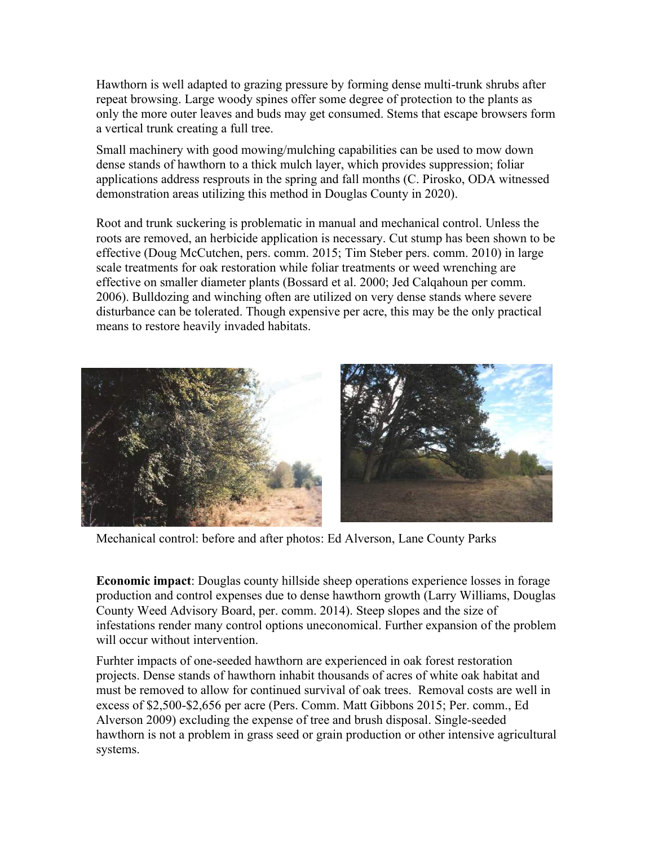Hawthorn is well adapted to grazing pressure by forming dense multi-trunk shrubs after repeat browsing. Large woody spines offer some degree of protection to the plants as only the more outer leaves and buds may get consumed. Stems that escape browsers form a vertical trunk creating a full tree.

Small machinery with good mowing/mulching capabilities can be used to mow down dense stands of hawthorn to a thick mulch layer, which provides suppression; foliar applications address resprouts in the spring and fall months (C. Pirosko, ODA witnessed demonstration areas utilizing this method in Douglas County in 2020).

Root and trunk suckering is problematic in manual and mechanical control. Unless the roots are removed, an herbicide application is necessary. Cut stump has been shown to be effective (Doug McCutchen, pers. comm. 2015; Tim Steber pers. comm. 2010) in large scale treatments for oak restoration while foliar treatments or weed wrenching are effective on smaller diameter plants (Bossard et al. 2000; Jed Calqahoun per comm. 2006). Bulldozing and winching often are utilized on very dense stands where severe disturbance can be tolerated. Though expensive per acre, this may be the only practical means to restore heavily invaded habitats.



Mechanical control: before and after photos: Ed Alverson, Lane County Parks

**Economic impact**: Douglas county hillside sheep operations experience losses in forage production and control expenses due to dense hawthorn growth (Larry Williams, Douglas County Weed Advisory Board, per. comm. 2014). Steep slopes and the size of infestations render many control options uneconomical. Further expansion of the problem will occur without intervention.

Furhter impacts of one-seeded hawthorn are experienced in oak forest restoration projects. Dense stands of hawthorn inhabit thousands of acres of white oak habitat and must be removed to allow for continued survival of oak trees. Removal costs are well in excess of \$2,500-\$2,656 per acre (Pers. Comm. Matt Gibbons 2015; Per. comm., Ed Alverson 2009) excluding the expense of tree and brush disposal. Single-seeded hawthorn is not a problem in grass seed or grain production or other intensive agricultural systems.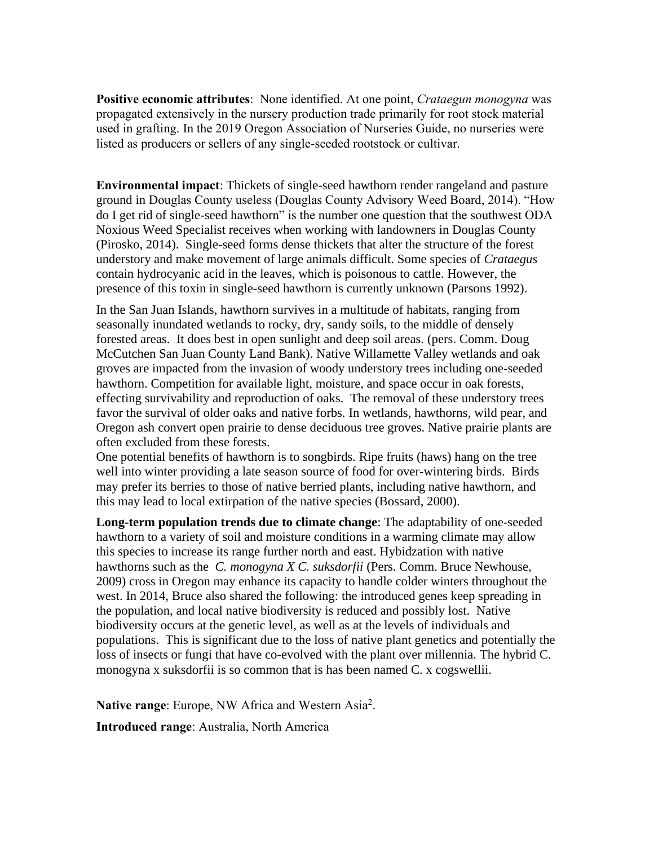**Positive economic attributes**: None identified. At one point, *Crataegun monogyna* was propagated extensively in the nursery production trade primarily for root stock material used in grafting. In the 2019 Oregon Association of Nurseries Guide, no nurseries were listed as producers or sellers of any single-seeded rootstock or cultivar.

**Environmental impact**: Thickets of single-seed hawthorn render rangeland and pasture ground in Douglas County useless (Douglas County Advisory Weed Board, 2014). "How do I get rid of single-seed hawthorn" is the number one question that the southwest ODA Noxious Weed Specialist receives when working with landowners in Douglas County (Pirosko, 2014). Single-seed forms dense thickets that alter the structure of the forest understory and make movement of large animals difficult. Some species of *Crataegus* contain hydrocyanic acid in the leaves, which is poisonous to cattle. However, the presence of this toxin in single-seed hawthorn is currently unknown (Parsons 1992).

In the San Juan Islands, hawthorn survives in a multitude of habitats, ranging from seasonally inundated wetlands to rocky, dry, sandy soils, to the middle of densely forested areas. It does best in open sunlight and deep soil areas. (pers. Comm. Doug McCutchen San Juan County Land Bank). Native Willamette Valley wetlands and oak groves are impacted from the invasion of woody understory trees including one-seeded hawthorn. Competition for available light, moisture, and space occur in oak forests, effecting survivability and reproduction of oaks. The removal of these understory trees favor the survival of older oaks and native forbs. In wetlands, hawthorns, wild pear, and Oregon ash convert open prairie to dense deciduous tree groves. Native prairie plants are often excluded from these forests.

One potential benefits of hawthorn is to songbirds. Ripe fruits (haws) hang on the tree well into winter providing a late season source of food for over-wintering birds. Birds may prefer its berries to those of native berried plants, including native hawthorn, and this may lead to local extirpation of the native species (Bossard, 2000).

**Long-term population trends due to climate change**: The adaptability of one-seeded hawthorn to a variety of soil and moisture conditions in a warming climate may allow this species to increase its range further north and east. Hybidzation with native hawthorns such as the *C. monogyna X C. suksdorfii* (Pers. Comm. Bruce Newhouse, 2009) cross in Oregon may enhance its capacity to handle colder winters throughout the west. In 2014, Bruce also shared the following: the introduced genes keep spreading in the population, and local native biodiversity is reduced and possibly lost. Native biodiversity occurs at the genetic level, as well as at the levels of individuals and populations. This is significant due to the loss of native plant genetics and potentially the loss of insects or fungi that have co-evolved with the plant over millennia. The hybrid C. monogyna x suksdorfii is so common that is has been named C. x cogswellii.

Native range: Europe, NW Africa and Western Asia<sup>2</sup>.

**Introduced range**: Australia, North America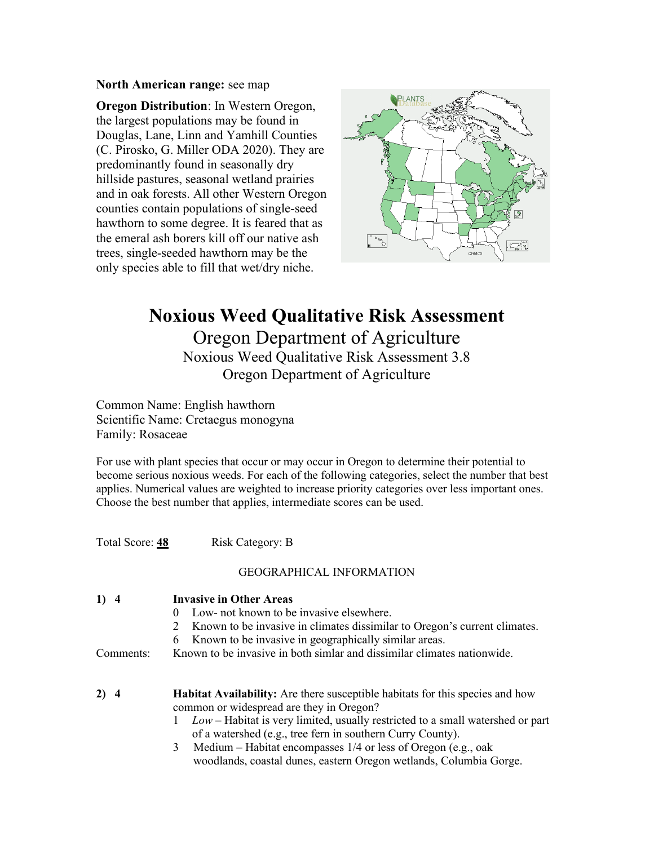#### **North American range:** see map

**Oregon Distribution**: In Western Oregon, the largest populations may be found in Douglas, Lane, Linn and Yamhill Counties (C. Pirosko, G. Miller ODA 2020). They are predominantly found in seasonally dry hillside pastures, seasonal wetland prairies and in oak forests. All other Western Oregon counties contain populations of single-seed hawthorn to some degree. It is feared that as the emeral ash borers kill off our native ash trees, single-seeded hawthorn may be the only species able to fill that wet/dry niche.



# **Noxious Weed Qualitative Risk Assessment**

Oregon Department of Agriculture Noxious Weed Qualitative Risk Assessment 3.8 Oregon Department of Agriculture

Common Name: English hawthorn Scientific Name: Cretaegus monogyna Family: Rosaceae

For use with plant species that occur or may occur in Oregon to determine their potential to become serious noxious weeds. For each of the following categories, select the number that best applies. Numerical values are weighted to increase priority categories over less important ones. Choose the best number that applies, intermediate scores can be used.

Total Score: 48 Risk Category: B

## GEOGRAPHICAL INFORMATION

| 1) 4      | <b>Invasive in Other Areas</b><br>Low- not known to be invasive elsewhere.<br>$\theta$                                           |  |  |  |  |
|-----------|----------------------------------------------------------------------------------------------------------------------------------|--|--|--|--|
|           | Known to be invasive in climates dissimilar to Oregon's current climates.                                                        |  |  |  |  |
|           | Known to be invasive in geographically similar areas.<br>6                                                                       |  |  |  |  |
| Comments: | Known to be invasive in both simlar and dissimilar climates nationwide.                                                          |  |  |  |  |
| 2)<br>4   | <b>Habitat Availability:</b> Are there susceptible habitats for this species and how<br>common or widespread are they in Oregon? |  |  |  |  |
|           | $Low$ – Habitat is very limited, usually restricted to a small watershed or part<br>1.                                           |  |  |  |  |
|           | of a watershed (e.g., tree fern in southern Curry County).                                                                       |  |  |  |  |
|           | Medium – Habitat encompasses $1/4$ or less of Oregon (e.g., oak<br>3                                                             |  |  |  |  |
|           | woodlands, coastal dunes, eastern Oregon wetlands, Columbia Gorge.                                                               |  |  |  |  |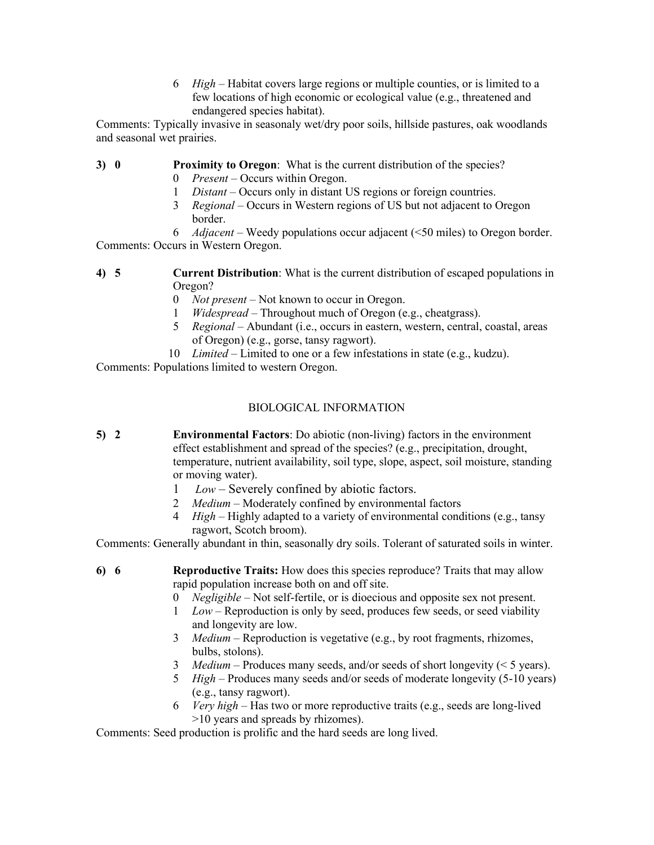6 *High* – Habitat covers large regions or multiple counties, or is limited to a few locations of high economic or ecological value (e.g., threatened and endangered species habitat).

Comments: Typically invasive in seasonaly wet/dry poor soils, hillside pastures, oak woodlands and seasonal wet prairies.

**3) 0 Proximity to Oregon**: What is the current distribution of the species?

- 0 *Present* Occurs within Oregon.
- 1 *Distant* Occurs only in distant US regions or foreign countries.
- 3 *Regional* Occurs in Western regions of US but not adjacent to Oregon border.
- 6 *Adjacent* Weedy populations occur adjacent (<50 miles) to Oregon border. Comments: Occurs in Western Oregon.
- **4) 5 Current Distribution**: What is the current distribution of escaped populations in Oregon?
	- 0 *Not present* Not known to occur in Oregon.
	- 1 *Widespread* Throughout much of Oregon (e.g., cheatgrass).
	- 5 *Regional* Abundant (i.e., occurs in eastern, western, central, coastal, areas of Oregon) (e.g., gorse, tansy ragwort).
	- 10 *Limited* Limited to one or a few infestations in state (e.g., kudzu).

Comments: Populations limited to western Oregon.

#### BIOLOGICAL INFORMATION

- **5) 2 Environmental Factors**: Do abiotic (non-living) factors in the environment effect establishment and spread of the species? (e.g., precipitation, drought, temperature, nutrient availability, soil type, slope, aspect, soil moisture, standing or moving water).
	- 1 *Low* Severely confined by abiotic factors.
	- 2 *Medium* Moderately confined by environmental factors
	- 4 *High* Highly adapted to a variety of environmental conditions (e.g., tansy ragwort, Scotch broom).

Comments: Generally abundant in thin, seasonally dry soils. Tolerant of saturated soils in winter.

- **6) 6 Reproductive Traits:** How does this species reproduce? Traits that may allow rapid population increase both on and off site.
	- 0 *Negligible* Not self-fertile, or is dioecious and opposite sex not present.
	- 1 *Low* Reproduction is only by seed, produces few seeds, or seed viability and longevity are low.
	- 3 *Medium* Reproduction is vegetative (e.g., by root fragments, rhizomes, bulbs, stolons).
	- 3 *Medium* Produces many seeds, and/or seeds of short longevity (< 5 years).
	- 5 *High* Produces many seeds and/or seeds of moderate longevity (5-10 years) (e.g., tansy ragwort).
	- 6 *Very high* Has two or more reproductive traits (e.g., seeds are long-lived >10 years and spreads by rhizomes).

Comments: Seed production is prolific and the hard seeds are long lived.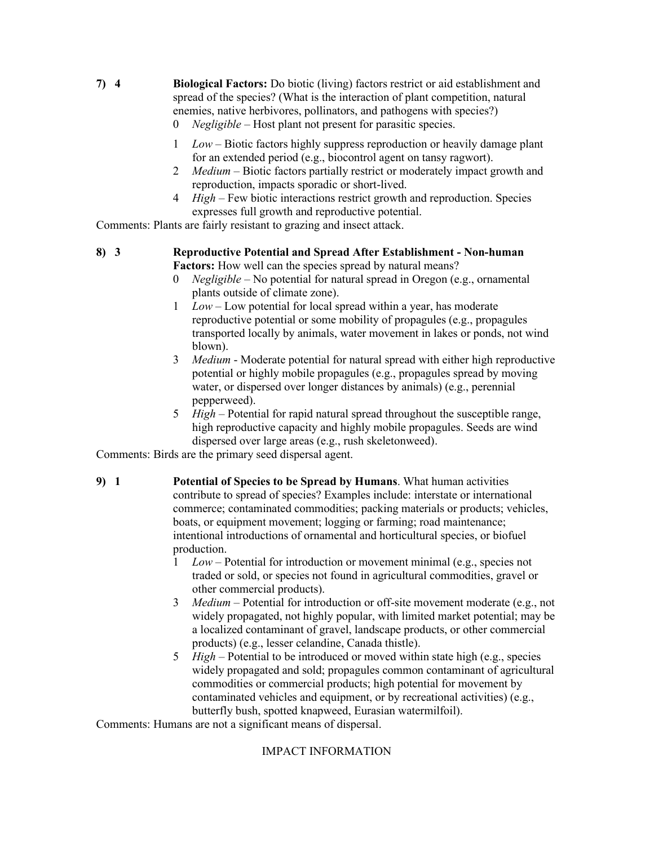- **7) 4 Biological Factors:** Do biotic (living) factors restrict or aid establishment and spread of the species? (What is the interaction of plant competition, natural enemies, native herbivores, pollinators, and pathogens with species?)
	- *Negligible* Host plant not present for parasitic species.
	- 1 *Low* Biotic factors highly suppress reproduction or heavily damage plant for an extended period (e.g., biocontrol agent on tansy ragwort).
	- 2 *Medium* Biotic factors partially restrict or moderately impact growth and reproduction, impacts sporadic or short-lived.
	- 4 *High* Few biotic interactions restrict growth and reproduction. Species expresses full growth and reproductive potential.

Comments: Plants are fairly resistant to grazing and insect attack.

#### **8) 3 Reproductive Potential and Spread After Establishment - Non-human Factors:** How well can the species spread by natural means?

- 0 *Negligible*  No potential for natural spread in Oregon (e.g., ornamental plants outside of climate zone).
- 1 *Low* Low potential for local spread within a year, has moderate reproductive potential or some mobility of propagules (e.g., propagules transported locally by animals, water movement in lakes or ponds, not wind blown).
- 3 *Medium* Moderate potential for natural spread with either high reproductive potential or highly mobile propagules (e.g., propagules spread by moving water, or dispersed over longer distances by animals) (e.g., perennial pepperweed).
- 5 *High*  Potential for rapid natural spread throughout the susceptible range, high reproductive capacity and highly mobile propagules. Seeds are wind dispersed over large areas (e.g., rush skeletonweed).

Comments: Birds are the primary seed dispersal agent.

- **9) 1 Potential of Species to be Spread by Humans**. What human activities contribute to spread of species? Examples include: interstate or international commerce; contaminated commodities; packing materials or products; vehicles, boats, or equipment movement; logging or farming; road maintenance; intentional introductions of ornamental and horticultural species, or biofuel production.
	- 1 *Low* Potential for introduction or movement minimal (e.g., species not traded or sold, or species not found in agricultural commodities, gravel or other commercial products).
	- 3 *Medium*  Potential for introduction or off-site movement moderate (e.g., not widely propagated, not highly popular, with limited market potential; may be a localized contaminant of gravel, landscape products, or other commercial products) (e.g., lesser celandine, Canada thistle).
	- 5 *High*  Potential to be introduced or moved within state high (e.g., species widely propagated and sold; propagules common contaminant of agricultural commodities or commercial products; high potential for movement by contaminated vehicles and equipment, or by recreational activities) (e.g., butterfly bush, spotted knapweed, Eurasian watermilfoil).

Comments: Humans are not a significant means of dispersal.

## IMPACT INFORMATION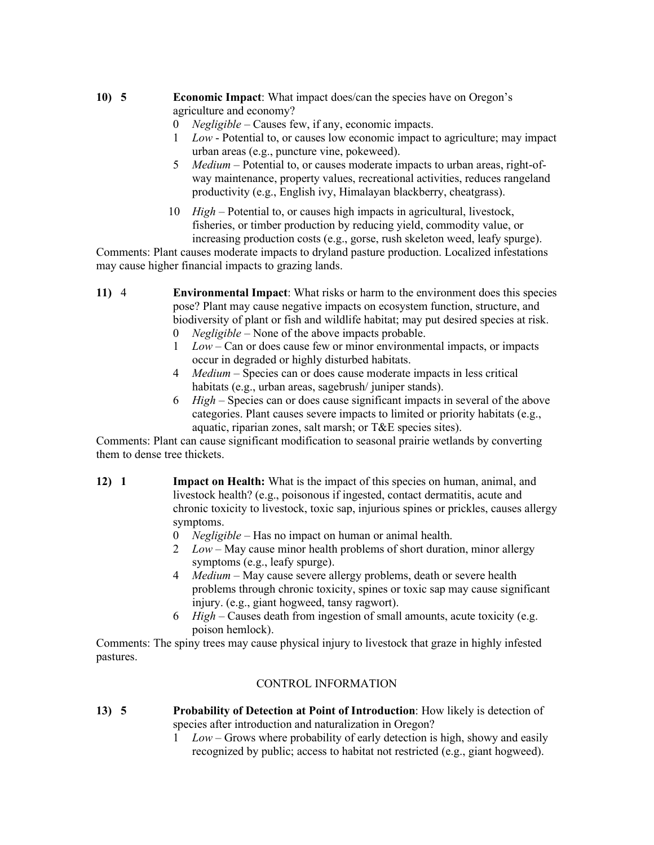#### **10) 5 Economic Impact**: What impact does/can the species have on Oregon's agriculture and economy?

- 0 *Negligible* Causes few, if any, economic impacts.
- 1 *Low* Potential to, or causes low economic impact to agriculture; may impact urban areas (e.g., puncture vine, pokeweed).
- 5 *Medium* Potential to, or causes moderate impacts to urban areas, right-ofway maintenance, property values, recreational activities, reduces rangeland productivity (e.g., English ivy, Himalayan blackberry, cheatgrass).
- 10 *High*  Potential to, or causes high impacts in agricultural, livestock, fisheries, or timber production by reducing yield, commodity value, or increasing production costs (e.g., gorse, rush skeleton weed, leafy spurge).

Comments: Plant causes moderate impacts to dryland pasture production. Localized infestations may cause higher financial impacts to grazing lands.

- **11)** 4 **Environmental Impact**: What risks or harm to the environment does this species pose? Plant may cause negative impacts on ecosystem function, structure, and biodiversity of plant or fish and wildlife habitat; may put desired species at risk.
	- 0 *Negligible*  None of the above impacts probable.
	- 1 *Low* Can or does cause few or minor environmental impacts, or impacts occur in degraded or highly disturbed habitats.
	- 4 *Medium*  Species can or does cause moderate impacts in less critical habitats (e.g., urban areas, sagebrush/ juniper stands).
	- 6 *High*  Species can or does cause significant impacts in several of the above categories. Plant causes severe impacts to limited or priority habitats (e.g., aquatic, riparian zones, salt marsh; or T&E species sites).

Comments: Plant can cause significant modification to seasonal prairie wetlands by converting them to dense tree thickets.

- **12) 1 Impact on Health:** What is the impact of this species on human, animal, and livestock health? (e.g., poisonous if ingested, contact dermatitis, acute and chronic toxicity to livestock, toxic sap, injurious spines or prickles, causes allergy symptoms.
	- 0 *Negligible* Has no impact on human or animal health.
	- 2 *Low*  May cause minor health problems of short duration, minor allergy symptoms (e.g., leafy spurge).
	- 4 *Medium*  May cause severe allergy problems, death or severe health problems through chronic toxicity, spines or toxic sap may cause significant injury. (e.g., giant hogweed, tansy ragwort).
	- 6 *High* Causes death from ingestion of small amounts, acute toxicity (e.g. poison hemlock).

Comments: The spiny trees may cause physical injury to livestock that graze in highly infested pastures.

## CONTROL INFORMATION

- **13) 5 Probability of Detection at Point of Introduction**: How likely is detection of species after introduction and naturalization in Oregon?
	- 1 *Low*  Grows where probability of early detection is high, showy and easily recognized by public; access to habitat not restricted (e.g., giant hogweed).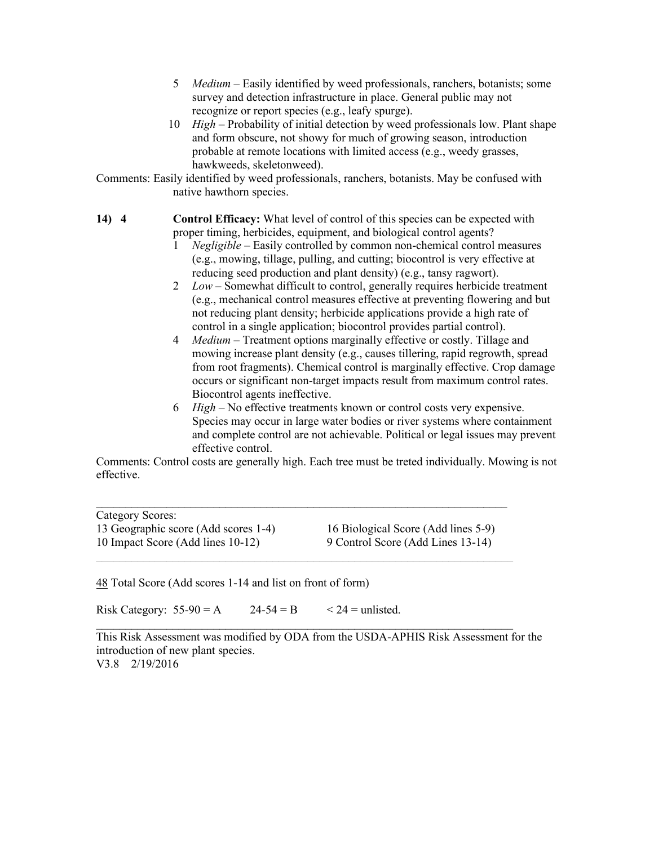- 5 *Medium* Easily identified by weed professionals, ranchers, botanists; some survey and detection infrastructure in place. General public may not recognize or report species (e.g., leafy spurge).
- 10 *High* Probability of initial detection by weed professionals low. Plant shape and form obscure, not showy for much of growing season, introduction probable at remote locations with limited access (e.g., weedy grasses, hawkweeds, skeletonweed).

Comments: Easily identified by weed professionals, ranchers, botanists. May be confused with native hawthorn species.

- **14) 4 Control Efficacy:** What level of control of this species can be expected with proper timing, herbicides, equipment, and biological control agents?
	- 1 *Negligible* Easily controlled by common non-chemical control measures (e.g., mowing, tillage, pulling, and cutting; biocontrol is very effective at reducing seed production and plant density) (e.g., tansy ragwort).
	- 2 *Low*  Somewhat difficult to control, generally requires herbicide treatment (e.g., mechanical control measures effective at preventing flowering and but not reducing plant density; herbicide applications provide a high rate of control in a single application; biocontrol provides partial control).
	- 4 *Medium*  Treatment options marginally effective or costly. Tillage and mowing increase plant density (e.g., causes tillering, rapid regrowth, spread from root fragments). Chemical control is marginally effective. Crop damage occurs or significant non-target impacts result from maximum control rates. Biocontrol agents ineffective.
	- 6 *High* No effective treatments known or control costs very expensive. Species may occur in large water bodies or river systems where containment and complete control are not achievable. Political or legal issues may prevent effective control.

Comments: Control costs are generally high. Each tree must be treted individually. Mowing is not effective.

Category Scores: 13 Geographic score (Add scores 1-4) 16 Biological Score (Add lines 5-9) 10 Impact Score (Add lines 10-12) 9 Control Score (Add Lines 13-14)

 $\mathcal{L}_\text{max} = \mathcal{L}_\text{max} = \mathcal{L}_\text{max} = \mathcal{L}_\text{max} = \mathcal{L}_\text{max} = \mathcal{L}_\text{max} = \mathcal{L}_\text{max} = \mathcal{L}_\text{max} = \mathcal{L}_\text{max} = \mathcal{L}_\text{max} = \mathcal{L}_\text{max} = \mathcal{L}_\text{max} = \mathcal{L}_\text{max} = \mathcal{L}_\text{max} = \mathcal{L}_\text{max} = \mathcal{L}_\text{max} = \mathcal{L}_\text{max} = \mathcal{L}_\text{max} = \mathcal{$ 

 $\mathcal{L}_\text{max} = \frac{1}{2} \sum_{i=1}^n \mathcal{L}_\text{max}(\mathbf{z}_i - \mathbf{z}_i)$ 

48 Total Score (Add scores 1-14 and list on front of form)

Risk Category:  $55-90 = A$  24-54 = B < 24 = unlisted.

This Risk Assessment was modified by ODA from the USDA-APHIS Risk Assessment for the introduction of new plant species. V3.8 2/19/2016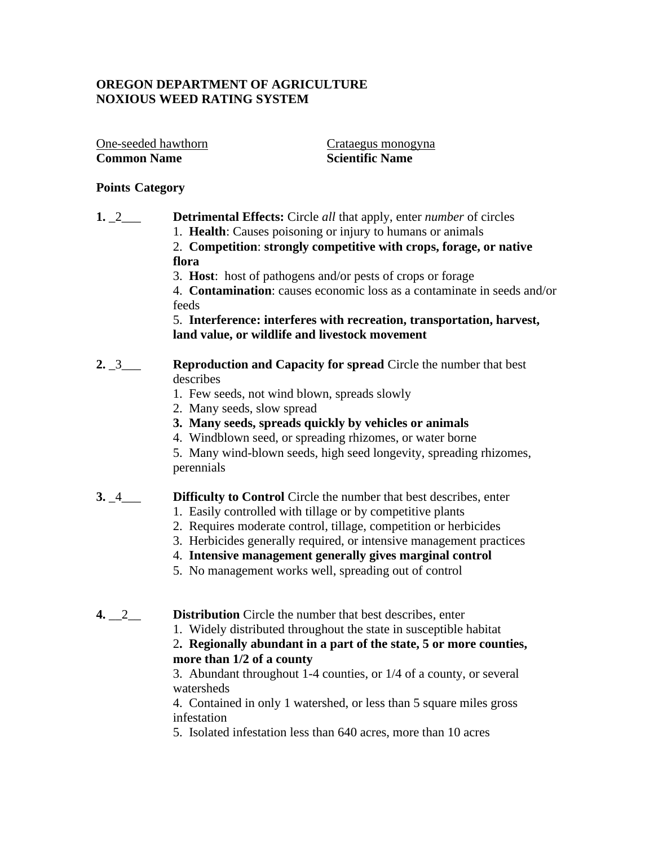# **OREGON DEPARTMENT OF AGRICULTURE NOXIOUS WEED RATING SYSTEM**

One-seeded hawthorn Crataegus monogyna **Common Name Scientific Name**

#### **Points Category**

- **1.** \_2\_\_\_ **Detrimental Effects:** Circle *all* that apply, enter *number* of circles 1. **Health**: Causes poisoning or injury to humans or animals
	- 2. **Competition**: **strongly competitive with crops, forage, or native flora**
	- 3. **Host**: host of pathogens and/or pests of crops or forage
	- 4. **Contamination**: causes economic loss as a contaminate in seeds and/or feeds

5. **Interference: interferes with recreation, transportation, harvest, land value, or wildlife and livestock movement**

- **2. 3 Reproduction and Capacity for spread** Circle the number that best describes
	- 1. Few seeds, not wind blown, spreads slowly
	- 2. Many seeds, slow spread
	- **3. Many seeds, spreads quickly by vehicles or animals**
	- 4. Windblown seed, or spreading rhizomes, or water borne

5. Many wind-blown seeds, high seed longevity, spreading rhizomes, perennials

- **3.**  $\frac{4}{2}$  **Difficulty to Control** Circle the number that best describes, enter
	- 1. Easily controlled with tillage or by competitive plants
	- 2. Requires moderate control, tillage, competition or herbicides
	- 3. Herbicides generally required, or intensive management practices
	- 4. **Intensive management generally gives marginal control**
	- 5. No management works well, spreading out of control
- **4.** \_\_2\_\_ **Distribution** Circle the number that best describes, enter
	- 1. Widely distributed throughout the state in susceptible habitat

# 2**. Regionally abundant in a part of the state, 5 or more counties, more than 1/2 of a county**

3. Abundant throughout 1-4 counties, or 1/4 of a county, or several watersheds

4. Contained in only 1 watershed, or less than 5 square miles gross infestation

5. Isolated infestation less than 640 acres, more than 10 acres